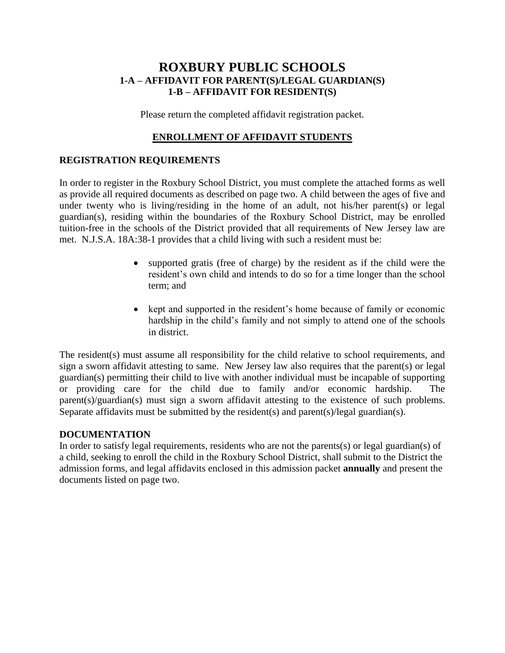## **ROXBURY PUBLIC SCHOOLS 1-A – AFFIDAVIT FOR PARENT(S)/LEGAL GUARDIAN(S) 1-B – AFFIDAVIT FOR RESIDENT(S)**

Please return the completed affidavit registration packet.

## **ENROLLMENT OF AFFIDAVIT STUDENTS**

### **REGISTRATION REQUIREMENTS**

In order to register in the Roxbury School District, you must complete the attached forms as well as provide all required documents as described on page two. A child between the ages of five and under twenty who is living/residing in the home of an adult, not his/her parent(s) or legal guardian(s), residing within the boundaries of the Roxbury School District, may be enrolled tuition-free in the schools of the District provided that all requirements of New Jersey law are met. N.J.S.A. 18A:38-1 provides that a child living with such a resident must be:

- supported gratis (free of charge) by the resident as if the child were the resident's own child and intends to do so for a time longer than the school term; and
- kept and supported in the resident's home because of family or economic hardship in the child's family and not simply to attend one of the schools in district.

The resident(s) must assume all responsibility for the child relative to school requirements, and sign a sworn affidavit attesting to same. New Jersey law also requires that the parent(s) or legal guardian(s) permitting their child to live with another individual must be incapable of supporting or providing care for the child due to family and/or economic hardship. The parent(s)/guardian(s) must sign a sworn affidavit attesting to the existence of such problems. Separate affidavits must be submitted by the resident(s) and parent(s)/legal guardian(s).

### **DOCUMENTATION**

In order to satisfy legal requirements, residents who are not the parents(s) or legal guardian(s) of a child, seeking to enroll the child in the Roxbury School District, shall submit to the District the admission forms, and legal affidavits enclosed in this admission packet **annually** and present the documents listed on page two.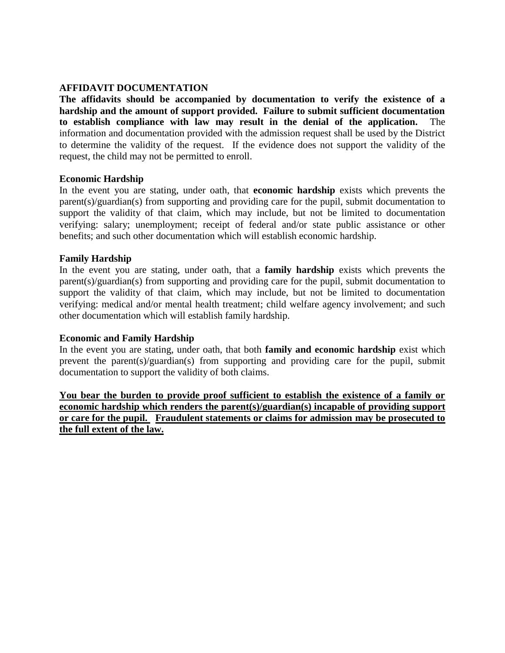## **AFFIDAVIT DOCUMENTATION**

**The affidavits should be accompanied by documentation to verify the existence of a hardship and the amount of support provided. Failure to submit sufficient documentation to establish compliance with law may result in the denial of the application.** The information and documentation provided with the admission request shall be used by the District to determine the validity of the request. If the evidence does not support the validity of the request, the child may not be permitted to enroll.

#### **Economic Hardship**

In the event you are stating, under oath, that **economic hardship** exists which prevents the parent(s)/guardian(s) from supporting and providing care for the pupil, submit documentation to support the validity of that claim, which may include, but not be limited to documentation verifying: salary; unemployment; receipt of federal and/or state public assistance or other benefits; and such other documentation which will establish economic hardship.

### **Family Hardship**

In the event you are stating, under oath, that a **family hardship** exists which prevents the parent(s)/guardian(s) from supporting and providing care for the pupil, submit documentation to support the validity of that claim, which may include, but not be limited to documentation verifying: medical and/or mental health treatment; child welfare agency involvement; and such other documentation which will establish family hardship.

#### **Economic and Family Hardship**

In the event you are stating, under oath, that both **family and economic hardship** exist which prevent the parent(s)/guardian(s) from supporting and providing care for the pupil, submit documentation to support the validity of both claims.

**You bear the burden to provide proof sufficient to establish the existence of a family or economic hardship which renders the parent(s)/guardian(s) incapable of providing support or care for the pupil. Fraudulent statements or claims for admission may be prosecuted to the full extent of the law.**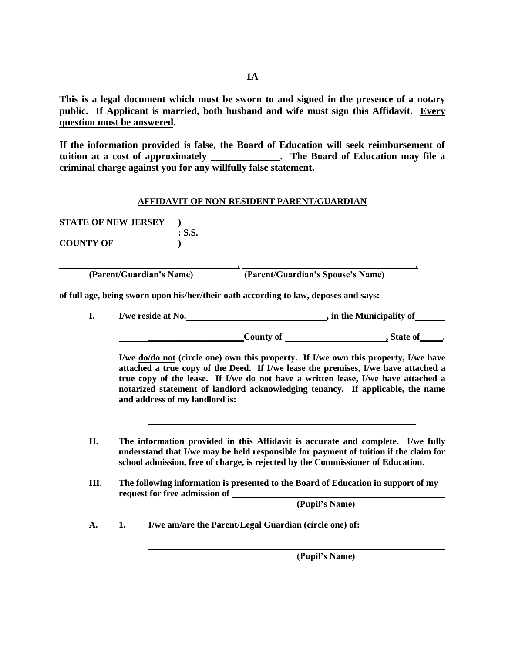**This is a legal document which must be sworn to and signed in the presence of a notary public. If Applicant is married, both husband and wife must sign this Affidavit. Every question must be answered.** 

**If the information provided is false, the Board of Education will seek reimbursement of tuition at a cost of approximately \_\_\_\_\_\_\_\_\_\_\_\_\_\_. The Board of Education may file a criminal charge against you for any willfully false statement.**

#### **AFFIDAVIT OF NON-RESIDENT PARENT/GUARDIAN**

**STATE OF NEW JERSEY ) : S.S. COUNTY OF )**

**(Parent/Guardian's Name) (Parent/Guardian's Spouse's Name)** 

**, ,**

**of full age, being sworn upon his/her/their oath according to law, deposes and says:**

**I. I/we reside at No. , in the Municipality of**

**\_\_\_\_\_\_\_\_\_\_\_\_\_\_\_\_\_\_\_\_\_County of , State of\_\_\_\_\_.**

**I/we do/do not (circle one) own this property. If I/we own this property, I/we have attached a true copy of the Deed. If I/we lease the premises, I/we have attached a true copy of the lease. If I/we do not have a written lease, I/we have attached a notarized statement of landlord acknowledging tenancy. If applicable, the name and address of my landlord is:**

- **II. The information provided in this Affidavit is accurate and complete. I/we fully understand that I/we may be held responsible for payment of tuition if the claim for school admission, free of charge, is rejected by the Commissioner of Education.**
- **III. The following information is presented to the Board of Education in support of my request for free admission of**

**(Pupil's Name)**

**A. 1. I/we am/are the Parent/Legal Guardian (circle one) of:**

**(Pupil's Name)**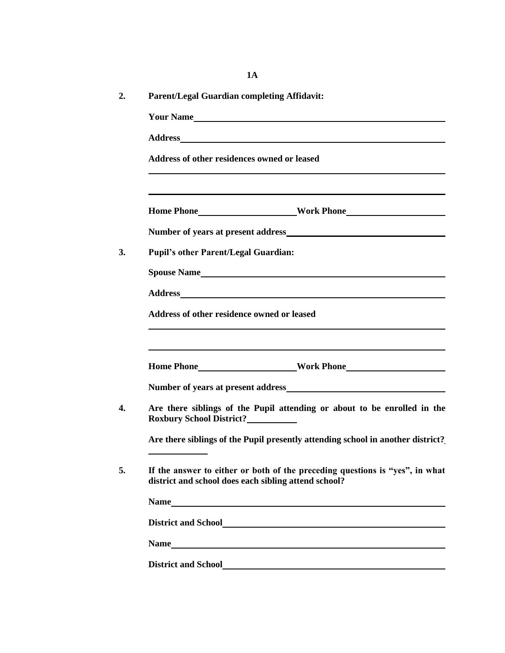| <b>Parent/Legal Guardian completing Affidavit:</b> |                                                                                                                                                                                                                                                                                                                                                                                                                                                                                       |
|----------------------------------------------------|---------------------------------------------------------------------------------------------------------------------------------------------------------------------------------------------------------------------------------------------------------------------------------------------------------------------------------------------------------------------------------------------------------------------------------------------------------------------------------------|
|                                                    | Your Name                                                                                                                                                                                                                                                                                                                                                                                                                                                                             |
|                                                    | Address and the contract of the contract of the contract of the contract of the contract of the contract of the contract of the contract of the contract of the contract of the contract of the contract of the contract of th                                                                                                                                                                                                                                                        |
| Address of other residences owned or leased        |                                                                                                                                                                                                                                                                                                                                                                                                                                                                                       |
|                                                    | <u> 1989 - Johann Stoff, amerikansk politiker (* 1908)</u>                                                                                                                                                                                                                                                                                                                                                                                                                            |
|                                                    |                                                                                                                                                                                                                                                                                                                                                                                                                                                                                       |
| <b>Pupil's other Parent/Legal Guardian:</b>        |                                                                                                                                                                                                                                                                                                                                                                                                                                                                                       |
|                                                    | <b>Spouse Name</b>                                                                                                                                                                                                                                                                                                                                                                                                                                                                    |
|                                                    |                                                                                                                                                                                                                                                                                                                                                                                                                                                                                       |
|                                                    |                                                                                                                                                                                                                                                                                                                                                                                                                                                                                       |
| Address of other residence owned or leased         | <u> 1989 - Johann Barbara, martxa alemaniar amerikan a</u>                                                                                                                                                                                                                                                                                                                                                                                                                            |
|                                                    |                                                                                                                                                                                                                                                                                                                                                                                                                                                                                       |
|                                                    |                                                                                                                                                                                                                                                                                                                                                                                                                                                                                       |
| Roxbury School District?___________                |                                                                                                                                                                                                                                                                                                                                                                                                                                                                                       |
|                                                    |                                                                                                                                                                                                                                                                                                                                                                                                                                                                                       |
|                                                    | district and school does each sibling attend school?                                                                                                                                                                                                                                                                                                                                                                                                                                  |
|                                                    |                                                                                                                                                                                                                                                                                                                                                                                                                                                                                       |
|                                                    |                                                                                                                                                                                                                                                                                                                                                                                                                                                                                       |
|                                                    | Are there siblings of the Pupil attending or about to be enrolled in the<br>Are there siblings of the Pupil presently attending school in another district?<br>If the answer to either or both of the preceding questions is "yes", in what<br>Name https://www.archive.com/communications/communications/communications/communications/communications/communications/communications/communications/communications/communications/communications/communications/communication<br>Name |

**1A**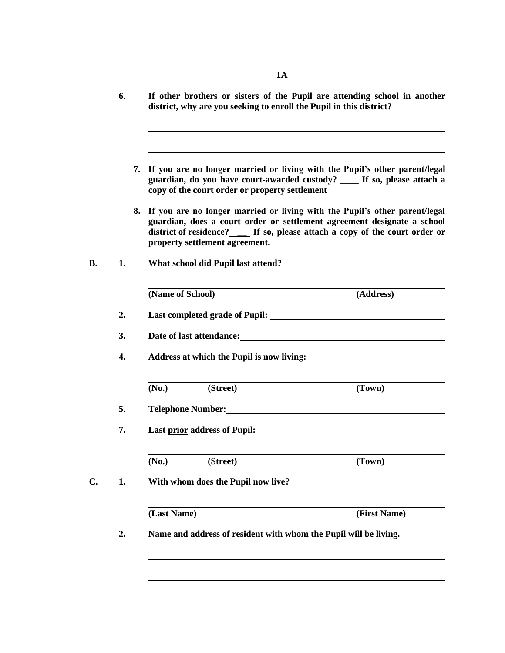|    | 6. | If other brothers or sisters of the Pupil are attending school in another<br>district, why are you seeking to enroll the Pupil in this district?                                                                                                                                 |
|----|----|----------------------------------------------------------------------------------------------------------------------------------------------------------------------------------------------------------------------------------------------------------------------------------|
|    |    |                                                                                                                                                                                                                                                                                  |
|    |    | If you are no longer married or living with the Pupil's other parent/legal<br>7.<br>guardian, do you have court-awarded custody? ____ If so, please attach a<br>copy of the court order or property settlement                                                                   |
|    |    | If you are no longer married or living with the Pupil's other parent/legal<br>8.<br>guardian, does a court order or settlement agreement designate a school<br>district of residence? ______ If so, please attach a copy of the court order or<br>property settlement agreement. |
| В. | 1. | What school did Pupil last attend?                                                                                                                                                                                                                                               |
|    |    | (Name of School)<br>(Address)                                                                                                                                                                                                                                                    |
|    | 2. | Last completed grade of Pupil:                                                                                                                                                                                                                                                   |
|    | 3. | Date of last attendance:                                                                                                                                                                                                                                                         |
|    | 4. | Address at which the Pupil is now living:                                                                                                                                                                                                                                        |
|    |    | (Street)<br>(No.)<br>(Town)                                                                                                                                                                                                                                                      |
|    | 5. | <b>Telephone Number:</b>                                                                                                                                                                                                                                                         |
|    | 7. | <b>Last prior address of Pupil:</b>                                                                                                                                                                                                                                              |
|    |    | (No.)<br>(Street)<br>(Town)                                                                                                                                                                                                                                                      |
| C. | 1. | With whom does the Pupil now live?                                                                                                                                                                                                                                               |
|    |    | (Last Name)<br>(First Name)                                                                                                                                                                                                                                                      |
|    | 2. | Name and address of resident with whom the Pupil will be living.                                                                                                                                                                                                                 |
|    |    |                                                                                                                                                                                                                                                                                  |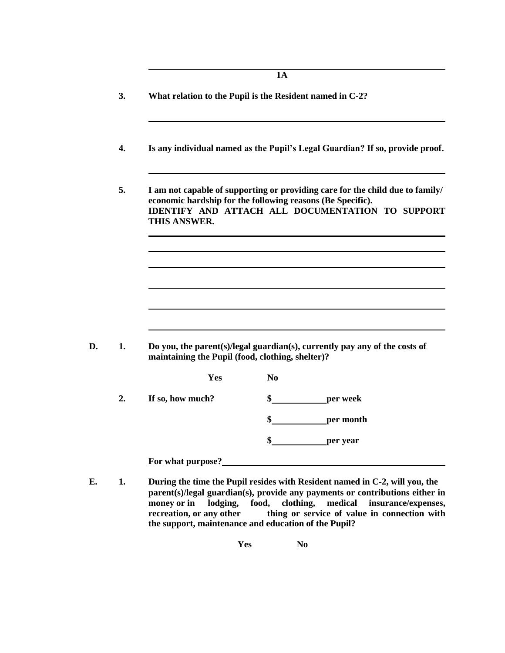**3. What relation to the Pupil is the Resident named in C-2?**

**4. Is any individual named as the Pupil's Legal Guardian? If so, provide proof.**

**5. I am not capable of supporting or providing care for the child due to family/ economic hardship for the following reasons (Be Specific). IDENTIFY AND ATTACH ALL DOCUMENTATION TO SUPPORT THIS ANSWER.**

**D. 1. Do you, the parent(s)/legal guardian(s), currently pay any of the costs of maintaining the Pupil (food, clothing, shelter)?**

|    | <b>Yes</b>        | N <sub>0</sub>  |
|----|-------------------|-----------------|
| 2. | If so, how much?  | \$<br>per week  |
|    |                   | \$<br>per month |
|    |                   | \$<br>per year  |
|    | For what purpose? |                 |

**E. 1. During the time the Pupil resides with Resident named in C-2, will you, the parent(s)/legal guardian(s), provide any payments or contributions either in money or in lodging, food, clothing, medical insurance/expenses, recreation, or any other thing or service of value in connection with the support, maintenance and education of the Pupil?**

**Yes No**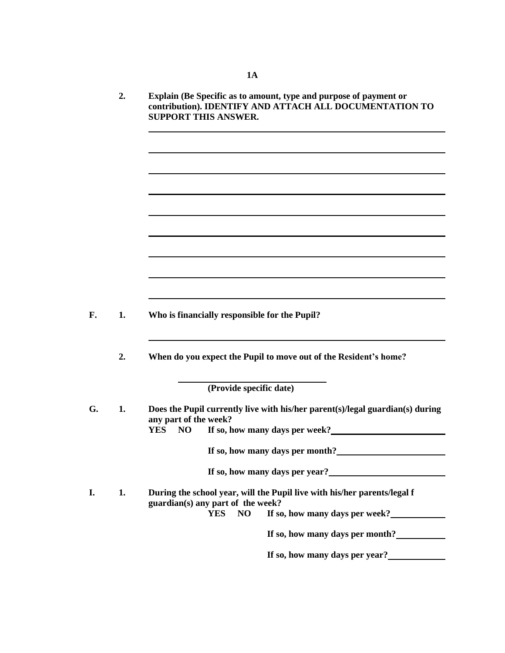- **2. Explain (Be Specific as to amount, type and purpose of payment or contribution). IDENTIFY AND ATTACH ALL DOCUMENTATION TO SUPPORT THIS ANSWER. F. 1. Who is financially responsible for the Pupil?**
	- **2. When do you expect the Pupil to move out of the Resident's home?**

**(Provide specific date)**

| G. | 1. | Does the Pupil currently live with his/her parent(s)/legal guardian(s) during<br>any part of the week?<br>If so, how many days per week?<br>NO<br>YES. |
|----|----|--------------------------------------------------------------------------------------------------------------------------------------------------------|
|    |    | If so, how many days per month?                                                                                                                        |
|    |    | If so, how many days per year?                                                                                                                         |
| I. | 1. | During the school year, will the Pupil live with his/her parents/legal f<br>guardian(s) any part of the week?                                          |
|    |    | If so, how many days per week?<br>NO.<br>YES-                                                                                                          |
|    |    | If so, how many days per month?                                                                                                                        |
|    |    | If so, how many days per year?                                                                                                                         |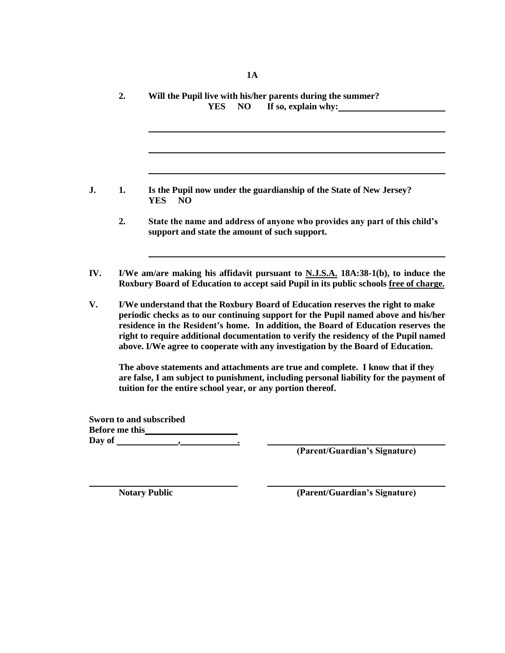|        | 2.             | Will the Pupil live with his/her parents during the summer?                                                                                                                                                                                                                                                                                                                                                                            |
|--------|----------------|----------------------------------------------------------------------------------------------------------------------------------------------------------------------------------------------------------------------------------------------------------------------------------------------------------------------------------------------------------------------------------------------------------------------------------------|
|        |                | If so, explain why:<br><b>YES</b><br>N <sub>O</sub>                                                                                                                                                                                                                                                                                                                                                                                    |
|        |                |                                                                                                                                                                                                                                                                                                                                                                                                                                        |
|        |                |                                                                                                                                                                                                                                                                                                                                                                                                                                        |
| J.     | 1.             | Is the Pupil now under the guardianship of the State of New Jersey?<br>N <sub>O</sub><br><b>YES</b>                                                                                                                                                                                                                                                                                                                                    |
|        | 2.             | State the name and address of anyone who provides any part of this child's<br>support and state the amount of such support.                                                                                                                                                                                                                                                                                                            |
| IV.    |                | I/We am/are making his affidavit pursuant to N.J.S.A. 18A:38-1(b), to induce the<br>Roxbury Board of Education to accept said Pupil in its public schools free of charge.                                                                                                                                                                                                                                                              |
| V.     |                | I/We understand that the Roxbury Board of Education reserves the right to make<br>periodic checks as to our continuing support for the Pupil named above and his/her<br>residence in the Resident's home. In addition, the Board of Education reserves the<br>right to require additional documentation to verify the residency of the Pupil named<br>above. I/We agree to cooperate with any investigation by the Board of Education. |
|        |                | The above statements and attachments are true and complete. I know that if they<br>are false, I am subject to punishment, including personal liability for the payment of<br>tuition for the entire school year, or any portion thereof.                                                                                                                                                                                               |
|        |                | Sworn to and subscribed                                                                                                                                                                                                                                                                                                                                                                                                                |
|        | Before me this |                                                                                                                                                                                                                                                                                                                                                                                                                                        |
| Day of |                |                                                                                                                                                                                                                                                                                                                                                                                                                                        |

**(Parent/Guardian's Signature)**

**Notary Public (Parent/Guardian's Signature)**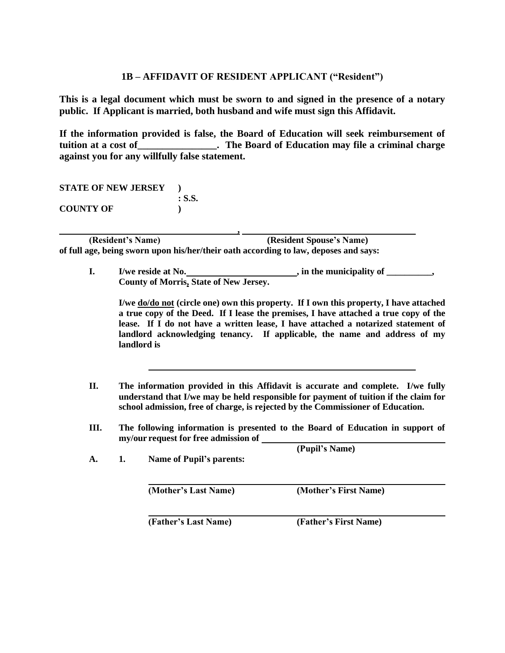## **1B – AFFIDAVIT OF RESIDENT APPLICANT ("Resident")**

**This is a legal document which must be sworn to and signed in the presence of a notary public. If Applicant is married, both husband and wife must sign this Affidavit.** 

**If the information provided is false, the Board of Education will seek reimbursement of tuition at a cost of\_\_\_\_\_\_\_\_\_\_\_\_\_\_\_\_. The Board of Education may file a criminal charge against you for any willfully false statement.**

**STATE OF NEW JERSEY ) : S.S. COUNTY OF )**

**, (Resident's Name) (Resident Spouse's Name) of full age, being sworn upon his/her/their oath according to law, deposes and says:**

**I.** I/we reside at No. *, in the municipality of \_\_\_\_\_\_\_***, County of Morris, State of New Jersey.**

**I/we do/do not (circle one) own this property. If I own this property, I have attached a true copy of the Deed. If I lease the premises, I have attached a true copy of the lease. If I do not have a written lease, I have attached a notarized statement of landlord acknowledging tenancy. If applicable, the name and address of my landlord is**

- **II. The information provided in this Affidavit is accurate and complete. I/we fully understand that I/we may be held responsible for payment of tuition if the claim for school admission, free of charge, is rejected by the Commissioner of Education.**
- **III. The following information is presented to the Board of Education in support of my/our request for free admission of (Pupil's Name)**

| А. | 1. | <b>Name of Pupil's parents:</b> | $(1$ up $1$ s $1$ value) |  |
|----|----|---------------------------------|--------------------------|--|
|    |    | (Mother's Last Name)            | (Mother's First Name)    |  |

**(Father's Last Name) (Father's First Name)**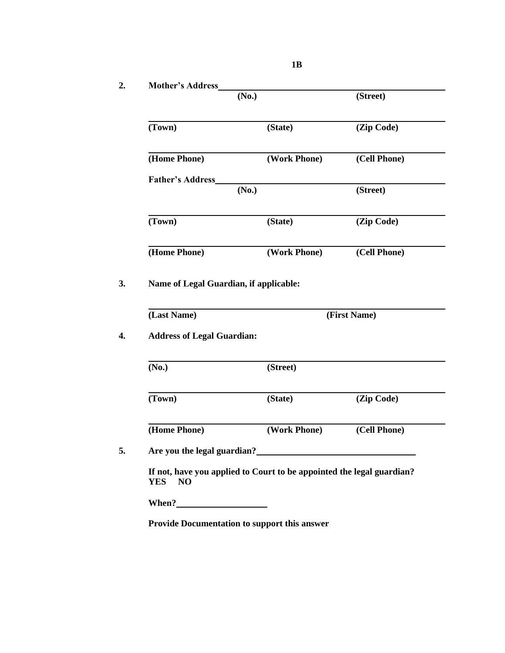|                                                      | (No.)                                                                 | (Street)     |
|------------------------------------------------------|-----------------------------------------------------------------------|--------------|
| (Town)                                               | (State)                                                               | (Zip Code)   |
| (Home Phone)                                         | (Work Phone)                                                          | (Cell Phone) |
| <b>Father's Address</b>                              |                                                                       |              |
|                                                      | (No.)                                                                 | (Street)     |
| (Town)                                               | (State)                                                               | (Zip Code)   |
| (Home Phone)                                         | (Work Phone)                                                          | (Cell Phone) |
| (Last Name)                                          | Name of Legal Guardian, if applicable:                                | (First Name) |
|                                                      |                                                                       |              |
|                                                      | (Street)                                                              |              |
| <b>Address of Legal Guardian:</b><br>(No.)<br>(Town) | (State)                                                               | (Zip Code)   |
| (Home Phone)                                         | (Work Phone)                                                          | (Cell Phone) |
|                                                      |                                                                       |              |
| Are you the legal guardian?<br><b>YES</b><br>NO      | If not, have you applied to Court to be appointed the legal guardian? |              |

**1B**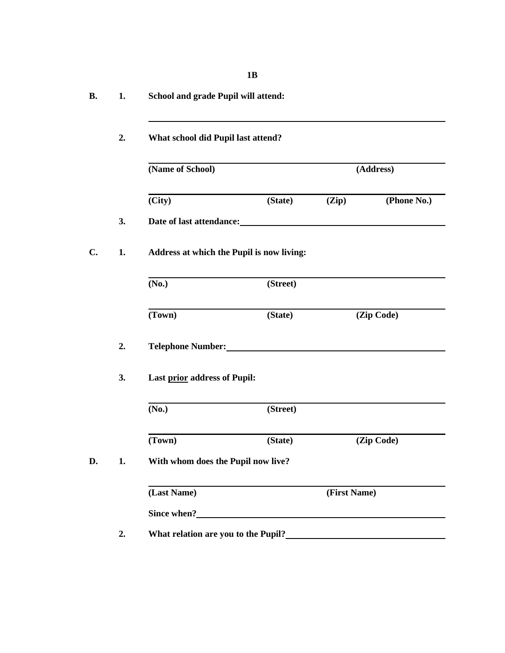| <b>B.</b> | 1. | School and grade Pupil will attend:                                        |          |              |             |
|-----------|----|----------------------------------------------------------------------------|----------|--------------|-------------|
|           | 2. | What school did Pupil last attend?                                         |          |              |             |
|           |    | (Name of School)                                                           |          |              | (Address)   |
|           |    | (City)                                                                     | (State)  | (Zip)        | (Phone No.) |
|           | 3. | Date of last attendance:<br><u>Letter and the set of last attendance</u> : |          |              |             |
| C.        | 1. | Address at which the Pupil is now living:                                  |          |              |             |
|           |    | (No.)                                                                      | (Street) |              |             |
|           |    | (Town)                                                                     | (State)  |              | (Zip Code)  |
|           | 2. | Telephone Number:                                                          |          |              |             |
|           | 3. | Last prior address of Pupil:                                               |          |              |             |
|           |    | (No.)                                                                      | (Street) |              |             |
|           |    | (Town)                                                                     | (State)  |              | (Zip Code)  |
| D.        | 1. | With whom does the Pupil now live?                                         |          |              |             |
|           |    | (Last Name)                                                                |          | (First Name) |             |
|           |    |                                                                            |          |              |             |
|           | 2. | What relation are you to the Pupil?                                        |          |              |             |

**1B**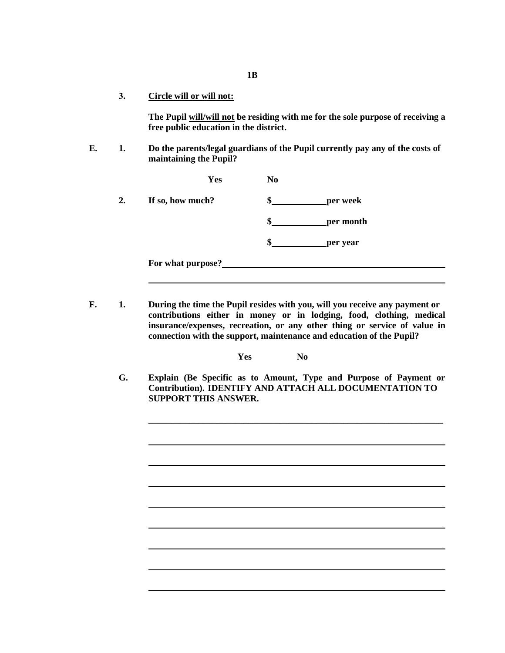**3. Circle will or will not:**

**The Pupil will/will not be residing with me for the sole purpose of receiving a free public education in the district.**

**E. 1. Do the parents/legal guardians of the Pupil currently pay any of the costs of maintaining the Pupil?**

|    | Yes               | N <sub>0</sub>  |
|----|-------------------|-----------------|
| 2. | If so, how much?  | per week<br>æ   |
|    |                   | \$<br>per month |
|    |                   | \$<br>per year  |
|    | For what purpose? |                 |

**F. 1. During the time the Pupil resides with you, will you receive any payment or contributions either in money or in lodging, food, clothing, medical insurance/expenses, recreation, or any other thing or service of value in connection with the support, maintenance and education of the Pupil?**

**Yes No**

**G. Explain (Be Specific as to Amount, Type and Purpose of Payment or Contribution). IDENTIFY AND ATTACH ALL DOCUMENTATION TO SUPPORT THIS ANSWER.**

**\_\_\_\_\_\_\_\_\_\_\_\_\_\_\_\_\_\_\_\_\_\_\_\_\_\_\_\_\_\_\_\_\_\_\_\_\_\_\_\_\_\_\_\_\_\_\_\_\_\_\_\_\_\_\_\_\_\_\_\_\_\_\_\_\_**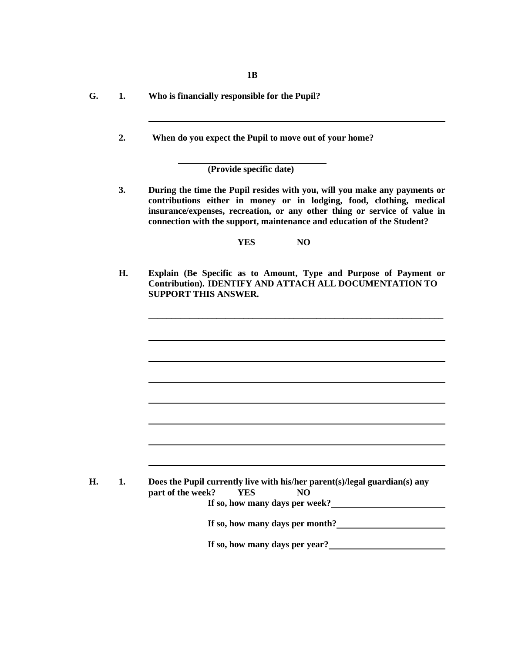**1B**

- **G. 1. Who is financially responsible for the Pupil?**
	- **2. When do you expect the Pupil to move out of your home?**

**(Provide specific date)**

**3. During the time the Pupil resides with you, will you make any payments or contributions either in money or in lodging, food, clothing, medical insurance/expenses, recreation, or any other thing or service of value in connection with the support, maintenance and education of the Student?**

**YES NO**

**H. Explain (Be Specific as to Amount, Type and Purpose of Payment or Contribution). IDENTIFY AND ATTACH ALL DOCUMENTATION TO SUPPORT THIS ANSWER.**

**\_\_\_\_\_\_\_\_\_\_\_\_\_\_\_\_\_\_\_\_\_\_\_\_\_\_\_\_\_\_\_\_\_\_\_\_\_\_\_\_\_\_\_\_\_\_\_\_\_\_\_\_\_\_\_\_\_\_\_\_\_\_\_\_\_**

| Н. | Does the Pupil currently live with his/her parent(s)/legal guardian(s) any |  |
|----|----------------------------------------------------------------------------|--|
|    | part of the week?<br>YES.<br>NO                                            |  |
|    | If so, how many days per week?                                             |  |
|    | If so, how many days per month?                                            |  |
|    |                                                                            |  |

**If so, how many days per year?**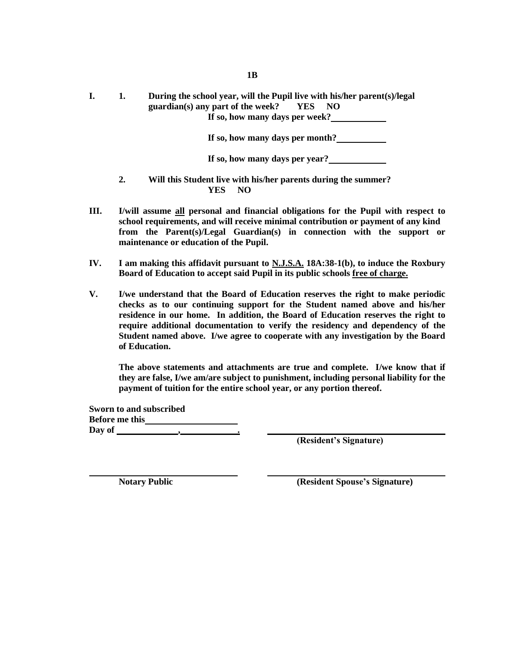**I. 1. During the school year, will the Pupil live with his/her parent(s)/legal guardian(s) any part of the week? YES NO If so, how many days per week?**

**If so, how many days per month?**

**If so, how many days per year?**

- **2. Will this Student live with his/her parents during the summer? YES NO**
- **III. I/will assume all personal and financial obligations for the Pupil with respect to school requirements, and will receive minimal contribution or payment of any kind from the Parent(s)/Legal Guardian(s) in connection with the support or maintenance or education of the Pupil.**
- **IV. I am making this affidavit pursuant to N.J.S.A. 18A:38-1(b), to induce the Roxbury Board of Education to accept said Pupil in its public schools free of charge.**
- **V. I/we understand that the Board of Education reserves the right to make periodic checks as to our continuing support for the Student named above and his/her residence in our home. In addition, the Board of Education reserves the right to require additional documentation to verify the residency and dependency of the Student named above. I/we agree to cooperate with any investigation by the Board of Education.**

**The above statements and attachments are true and complete. I/we know that if they are false, I/we am/are subject to punishment, including personal liability for the payment of tuition for the entire school year, or any portion thereof.**

**Sworn to and subscribed Before me this Day of , .**

**(Resident's Signature)**

**Notary Public (Resident Spouse's Signature)**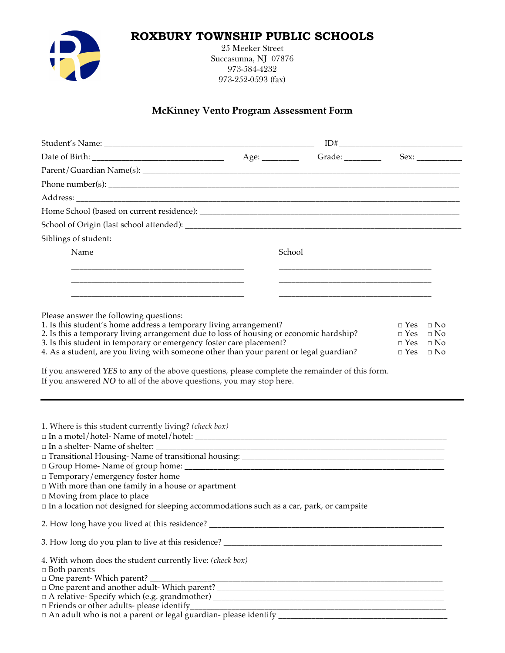# **ROXBURY TOWNSHIP PUBLIC SCHOOLS**



25 Meeker Street Succasunna, NJ 07876 973-584-4232 973-252-0593 (fax)

# **McKinney Vento Program Assessment Form**

|                                                                                                             |        | Grade: __________ | Sex:                 |
|-------------------------------------------------------------------------------------------------------------|--------|-------------------|----------------------|
|                                                                                                             |        |                   |                      |
|                                                                                                             |        |                   |                      |
|                                                                                                             |        |                   |                      |
|                                                                                                             |        |                   |                      |
|                                                                                                             |        |                   |                      |
| Siblings of student:                                                                                        |        |                   |                      |
| Name                                                                                                        | School |                   |                      |
|                                                                                                             |        |                   |                      |
|                                                                                                             |        |                   |                      |
|                                                                                                             |        |                   |                      |
|                                                                                                             |        |                   |                      |
| Please answer the following questions:<br>1. Is this student's home address a temporary living arrangement? |        |                   | $\Box$ Yes $\Box$ No |
| 2. Is this a temporary living arrangement due to loss of housing or economic hardship?                      |        |                   | $\Box$ Yes $\Box$ No |
| 3. Is this student in temporary or emergency foster care placement?                                         |        |                   | $\Box$ Yes $\Box$ No |
| 4. As a student, are you living with someone other than your parent or legal guardian?                      |        |                   | $\Box$ Yes $\Box$ No |
| If you answered NO to all of the above questions, you may stop here.                                        |        |                   |                      |
| 1. Where is this student currently living? (check box)                                                      |        |                   |                      |
|                                                                                                             |        |                   |                      |
|                                                                                                             |        |                   |                      |
|                                                                                                             |        |                   |                      |
| $\Box$ Temporary/emergency foster home                                                                      |        |                   |                      |
| $\Box$ With more than one family in a house or apartment<br>$\Box$ Moving from place to place               |        |                   |                      |
| In a location not designed for sleeping accommodations such as a car, park, or campsite                     |        |                   |                      |
|                                                                                                             |        |                   |                      |
|                                                                                                             |        |                   |                      |
| 4. With whom does the student currently live: (check box)                                                   |        |                   |                      |
| $\Box$ Both parents                                                                                         |        |                   |                      |
|                                                                                                             |        |                   |                      |
|                                                                                                             |        |                   |                      |
|                                                                                                             |        |                   |                      |